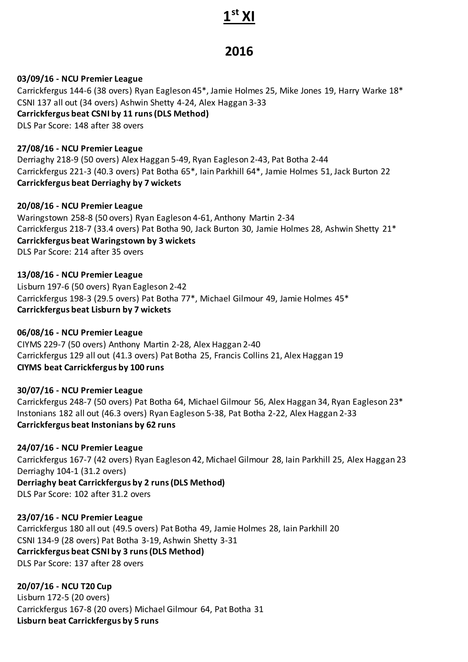# **1 st XI**

## **2016**

#### **03/09/16 - NCU Premier League**

Carrickfergus 144-6 (38 overs) Ryan Eagleson 45\*, Jamie Holmes 25, Mike Jones 19, Harry Warke 18\* CSNI 137 all out (34 overs) Ashwin Shetty 4-24, Alex Haggan 3-33 **Carrickfergus beat CSNI by 11 runs (DLS Method)** DLS Par Score: 148 after 38 overs

#### **27/08/16 - NCU Premier League**

Derriaghy 218-9 (50 overs) Alex Haggan 5-49, Ryan Eagleson 2-43, Pat Botha 2-44 Carrickfergus 221-3 (40.3 overs) Pat Botha 65\*, Iain Parkhill 64\*, Jamie Holmes 51, Jack Burton 22 **Carrickfergus beat Derriaghy by 7 wickets**

**20/08/16 - NCU Premier League** Waringstown 258-8 (50 overs) Ryan Eagleson 4-61, Anthony Martin 2-34 Carrickfergus 218-7 (33.4 overs) Pat Botha 90, Jack Burton 30, Jamie Holmes 28, Ashwin Shetty 21\* **Carrickfergus beat Waringstown by 3 wickets** DLS Par Score: 214 after 35 overs

**13/08/16 - NCU Premier League** Lisburn 197-6 (50 overs) Ryan Eagleson 2-42 Carrickfergus 198-3 (29.5 overs) Pat Botha 77\*, Michael Gilmour 49, Jamie Holmes 45\* **Carrickfergus beat Lisburn by 7 wickets**

#### **06/08/16 - NCU Premier League** CIYMS 229-7 (50 overs) Anthony Martin 2-28, Alex Haggan 2-40 Carrickfergus 129 all out (41.3 overs) Pat Botha 25, Francis Collins 21, Alex Haggan 19 **CIYMS beat Carrickfergus by 100 runs**

#### **30/07/16 - NCU Premier League**

Carrickfergus 248-7 (50 overs) Pat Botha 64, Michael Gilmour 56, Alex Haggan 34, Ryan Eagleson 23\* Instonians 182 all out (46.3 overs) Ryan Eagleson 5-38, Pat Botha 2-22, Alex Haggan 2-33 **Carrickfergus beat Instonians by 62 runs**

#### **24/07/16 - NCU Premier League**

Carrickfergus 167-7 (42 overs) Ryan Eagleson 42, Michael Gilmour 28, Iain Parkhill 25, Alex Haggan 23 Derriaghy 104-1 (31.2 overs) **Derriaghy beat Carrickfergus by 2 runs (DLS Method)** DLS Par Score: 102 after 31.2 overs

**23/07/16 - NCU Premier League** Carrickfergus 180 all out (49.5 overs) Pat Botha 49, Jamie Holmes 28, Iain Parkhill 20 CSNI 134-9 (28 overs) Pat Botha 3-19, Ashwin Shetty 3-31 **Carrickfergus beat CSNI by 3 runs (DLS Method)** DLS Par Score: 137 after 28 overs

**20/07/16 - NCU T20 Cup** Lisburn 172-5 (20 overs) Carrickfergus 167-8 (20 overs) Michael Gilmour 64, Pat Botha 31 **Lisburn beat Carrickfergus by 5 runs**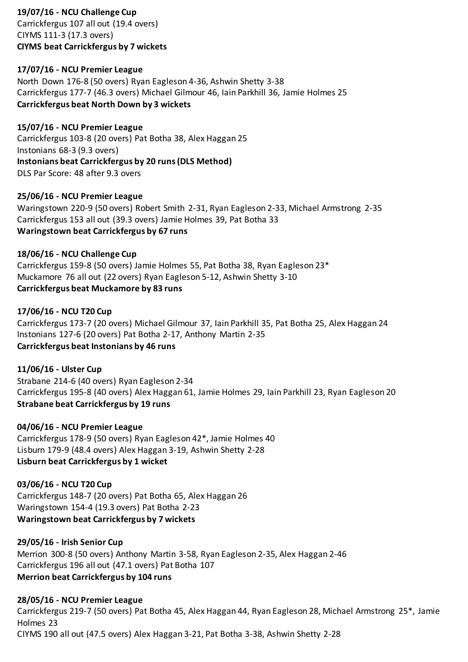#### **19/07/16 - NCU Challenge Cup**

Carrickfergus 107 all out (19.4 overs) CIYMS 111-3 (17.3 overs) **CIYMS beat Carrickfergus by 7 wickets**

#### **17/07/16 - NCU Premier League**

North Down 176-8 (50 overs) Ryan Eagleson 4-36, Ashwin Shetty 3-38 Carrickfergus 177-7 (46.3 overs) Michael Gilmour 46, Iain Parkhill 36, Jamie Holmes 25 **Carrickfergus beat North Down by 3 wickets**

#### **15/07/16 - NCU Premier League**

Carrickfergus 103-8 (20 overs) Pat Botha 38, Alex Haggan 25 Instonians 68-3 (9.3 overs) **Instonians beat Carrickfergus by 20 runs (DLS Method)** DLS Par Score: 48 after 9.3 overs

#### **25/06/16 - NCU Premier League**

Waringstown 220-9 (50 overs) Robert Smith 2-31, Ryan Eagleson 2-33, Michael Armstrong 2-35 Carrickfergus 153 all out (39.3 overs) Jamie Holmes 39, Pat Botha 33 **Waringstown beat Carrickfergus by 67 runs**

#### **18/06/16 - NCU Challenge Cup**

Carrickfergus 159-8 (50 overs) Jamie Holmes 55, Pat Botha 38, Ryan Eagleson 23\* Muckamore 76 all out (22 overs) Ryan Eagleson 5-12, Ashwin Shetty 3-10 **Carrickfergus beat Muckamore by 83 runs**

#### **17/06/16 - NCU T20 Cup**

Carrickfergus 173-7 (20 overs) Michael Gilmour 37, Iain Parkhill 35, Pat Botha 25, Alex Haggan 24 Instonians 127-6 (20 overs) Pat Botha 2-17, Anthony Martin 2-35 **Carrickfergus beat Instonians by 46 runs**

#### **11/06/16 - Ulster Cup** Strabane 214-6 (40 overs) Ryan Eagleson 2-34 Carrickfergus 195-8 (40 overs) Alex Haggan 61, Jamie Holmes 29, Iain Parkhill 23, Ryan Eagleson 20 **Strabane beat Carrickfergus by 19 runs**

**04/06/16 - NCU Premier League** Carrickfergus 178-9 (50 overs) Ryan Eagleson 42\*, Jamie Holmes 40 Lisburn 179-9 (48.4 overs) Alex Haggan 3-19, Ashwin Shetty 2-28 **Lisburn beat Carrickfergus by 1 wicket**

#### **03/06/16 - NCU T20 Cup**

Carrickfergus 148-7 (20 overs) Pat Botha 65, Alex Haggan 26 Waringstown 154-4 (19.3 overs) Pat Botha 2-23 **Waringstown beat Carrickfergus by 7 wickets**

#### **29/05/16 - Irish Senior Cup**

Merrion 300-8 (50 overs) Anthony Martin 3-58, Ryan Eagleson 2-35, Alex Haggan 2-46 Carrickfergus 196 all out (47.1 overs) Pat Botha 107 **Merrion beat Carrickfergus by 104 runs**

#### **28/05/16 - NCU Premier League**

Carrickfergus 219-7 (50 overs) Pat Botha 45, Alex Haggan 44, Ryan Eagleson 28, Michael Armstrong 25\*, Jamie Holmes 23 CIYMS 190 all out (47.5 overs) Alex Haggan 3-21, Pat Botha 3-38, Ashwin Shetty 2-28